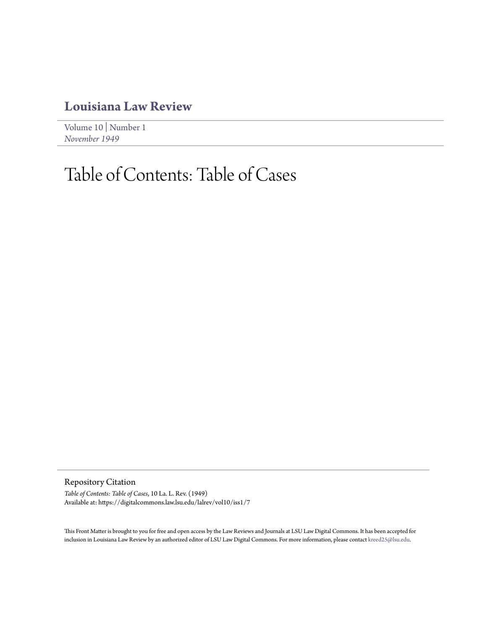## **[Louisiana Law Review](https://digitalcommons.law.lsu.edu/lalrev)**

[Volume 10](https://digitalcommons.law.lsu.edu/lalrev/vol10) | [Number 1](https://digitalcommons.law.lsu.edu/lalrev/vol10/iss1) *[November 1949](https://digitalcommons.law.lsu.edu/lalrev/vol10/iss1)*

# Table of Contents: Table of Cases

Repository Citation

*Table of Contents: Table of Cases*, 10 La. L. Rev. (1949) Available at: https://digitalcommons.law.lsu.edu/lalrev/vol10/iss1/7

This Front Matter is brought to you for free and open access by the Law Reviews and Journals at LSU Law Digital Commons. It has been accepted for inclusion in Louisiana Law Review by an authorized editor of LSU Law Digital Commons. For more information, please contact [kreed25@lsu.edu](mailto:kreed25@lsu.edu).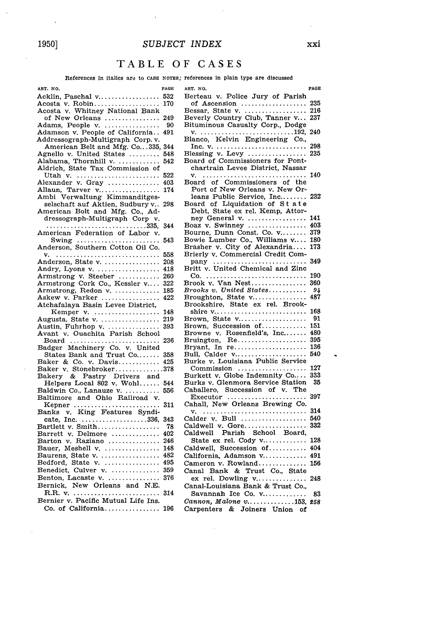#### *SUBJECT INDEX*

### TABLE OF **CASES**

#### References in italics are to CASE NOTES; references in plain type are discussed

| ART. NO.                                             | PAGE |
|------------------------------------------------------|------|
| Acklin, Paschal v                                    | 532  |
| Acosta v. Robin 170                                  |      |
|                                                      |      |
| Acosta v. Whitney National Bank<br>of New Orleans    | 249  |
|                                                      | 90   |
| Adams, People v.<br>Adamson v. People of California  | 491  |
|                                                      |      |
| Addressograph-Multigraph Corp.v.                     |      |
| American Belt and Mfg. Co335,                        | 344  |
| Agnello v. United States                             | 548  |
| Alabama, Thornhill v.                                | 542  |
| Aldrich, State Tax Commission of                     |      |
| Utah v.<br>Alexander v. Gray                         | 522  |
|                                                      | 403  |
| Allaun, Tarver v                                     | 174  |
| Verwaltung Kimmanditges-<br>Ambi                     |      |
| selschaft auf Aktien, Sudbury v                      | 298  |
| American Bolt and Mfg. Co., Ad-                      |      |
| dressograph-Multigraph Corp v.                       |      |
|                                                      | 344  |
| 335,<br>American Federation of Labor v.              |      |
| Swing $\dots\dots\dots\dots\dots\dots\dots\dots$     | 543  |
| Anderson, Southern Cotton Oil Co.                    |      |
|                                                      | 558  |
| Anderson, State v.                                   | 208  |
|                                                      | 418  |
| Andry, Lyons v.<br>Armstrong v. Steeber              | 260  |
|                                                      | 322  |
| Armstrong Cork Co., Kessler v<br>Armstrong, Redon v. | 185  |
|                                                      |      |
| Askew v. Parker                                      | 422  |
| Atchafalaya Basin Levee District,                    |      |
| Kemper v.                                            | 148  |
| Augusta, State v.                                    | 219  |
| Austin, Fuhrhop v.                                   | 393  |
| Avant v. Ouachita Parish School                      |      |
| Board<br>Badger Machinery Co. v. United              | 236  |
|                                                      |      |
| States Bank and Trust Co                             | 358  |
| Baker & Co. v. Davis                                 | 425  |
| Baker v. Stonebroker<br>Bakery & Pastry Drivers and  | .378 |
|                                                      |      |
| Helpers Local 802 v. Wohl                            | 544  |
| Baldwin Co., Lanauze v.                              | 556  |
| Baltimore and Ohio Railroad v.                       |      |
| Kepner                                               | 311  |
| Banks v. King Features Syndi-                        |      |
| cate, Inc. 336,                                      | 343  |
| Bartlett v. Smith                                    | 78   |
| Barrett v. Delmore                                   | 402  |
| Barton v. Raziano                                    | 246  |
| Bauer, Meshell v.                                    | 148  |
|                                                      | 482  |
| Baurens, State v.<br>Bedford, State v.               | 495  |
|                                                      | 359  |
| Benedict, Culver v.                                  |      |
| Benton, Lacaste v.                                   | 376  |
| Bernick, New Orleans and N.E.                        |      |
|                                                      | 314  |
| Bernier v. Pacific Mutual Life Ins.                  |      |
| Co. of California                                    | 196  |
|                                                      |      |

**ART. NO. PAGE** Berteau v. Police Jury of Parish of Ascension ................... **235** Bessar, State v. ................... 216 Beverly Country Club, Tanner v... **237** Bituminous Casualty Corp., Dodge **v .** ...... .................... **192,** <sup>240</sup> Blanco, Kelvin Engineering Co., Inc. v **.** .......................... 298 Blessing v. Levy  $\dots \dots \dots \dots$ Board of Commissioners for Pontchartrain Levee District, Nassar **v .** .............................. 140 Board of Commissioners of the Port of New Orleans v. New Orleans Public Service, Inc........ 232 Board of Liquidation of **S** t ate Debt, State ex rel. Kemp, Attorney General v. .................. 141 Boaz v. Swinney ................. 403 Bourne, Dunn Const. Co. v........ 379 Bowie Lumber Co., Williams v.... **180** Brasher v. City of Alexandria.... **173** Brierly v. Commercial Credit Company ........................... 349 Britt v. United Chemical and Zinc C **o .** ............................. **190** Brook v. Van Nest................. 360 *Brooks v. United States ........... 94* Broughton, State v.................. 487 Brookshire, State ex rel. Brookshire v ........................... 168 Brown, State v .................... 91 Brown, Succession of.............. 151 Browne v. Rosenfield's, Inc....... 480 Bruington, Re .................... 395 Bryant, In re........................ 136 Bull, Calder v.......................... 540 Burke v. Louisiana Public Service Commission .................... 127 Burkett v. Globe Indemnity Co.... 333 Burks v. Glenmora Service Station Caballero, Succession of v. The Executor ....................... 397 Cahall, New Orleans Brewing Co. v **.** .............................. 314 Calder v. Bull ................... 540 Caldwell v. Gore.................... 332 Caldwell Parish School Board, State ex rel. Cody  $v$ ............... 128 Caldwell, Succession of ........... 404 California, Adamson v.............. 491 Cameron v. Rowland............... 156 Canal Bank & Trust Co., State ex rel. Dowling  $v$ ................. 248 Canal-Louisiana Bank & Trust Co., Savannah Ice Co. v............... 83 *Cannon, Malone v................153, 258* Carpenters & Joiners Union of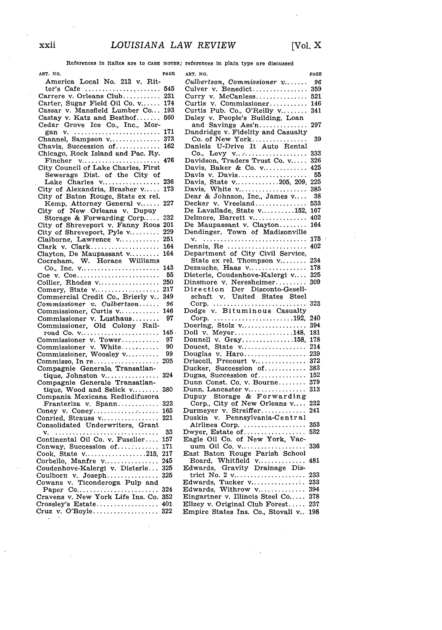$\overline{a}$ 

References In italics are to CASE **NOTES;** references in plain type are discussed

| ART. NO.                                                               | PAGE    | AR'         |
|------------------------------------------------------------------------|---------|-------------|
| America Local No. 213 v. Rit-                                          |         | Сu          |
|                                                                        | 545     | Cυ          |
| $ter's$ Cafe                                                           |         |             |
| Carrere v. Orleans Club                                                | 231     | Cu          |
| Carter, Sugar Field Oil Co. v                                          | 174     | Cυ          |
| Cassar v. Mansfield Lumber Co                                          | 193     | Cυ          |
|                                                                        |         |             |
| Castay v. Katz and Besthof                                             | 560     | Dε          |
|                                                                        |         | í           |
|                                                                        | 171     | Dε          |
|                                                                        | 373     | $\epsilon$  |
| Channel, Sampson v                                                     |         |             |
| Chavis, Succession of                                                  | 162     | Dε          |
| Chicago, Rock Island and Pac. Ry.                                      |         | ¢           |
| Fincher v                                                              | 476     | Da          |
| City Council of Lake Charles, First                                    |         | Da          |
|                                                                        |         |             |
| Sewerage Dist. of the City of                                          |         | Da          |
| Lake Charles v                                                         | 236     | Da          |
| City of Alexandria, Brasher v                                          | 173     | Da          |
|                                                                        |         |             |
| City of Baton Rouge, State ex rel.                                     |         | De          |
| Kemp, Attorney General v                                               | 227     | $_{\rm De}$ |
| City of New Orleans v. Dupuy                                           |         | De          |
| Storage & Forwarding Corp                                              | 232     | $_{\rm De}$ |
|                                                                        |         |             |
|                                                                        |         | De          |
| City of Shreveport v. Fanny Roos 201<br>City of Shreveport, Pyle v 229 |         | De          |
| Claiborne, Lawrence v                                                  | 251     | ٦           |
|                                                                        | 164     | De          |
|                                                                        |         |             |
|                                                                        | 164     | De          |
|                                                                        |         | ř           |
|                                                                        | 143     | $_{\rm De}$ |
| Coe v. Coe                                                             | 55      | Di          |
|                                                                        | 250     | Dii         |
| Collier, Rhodes v                                                      |         |             |
| Comery, State v                                                        | 217     | Di          |
| Commercial Credit Co., Brierly v                                       | 349     | S           |
| $Commissioner$ v. $Culbertson$                                         | 96      | Ç           |
|                                                                        | 146     | Do          |
| Commissioner, Curtis v<br>Commissioner v. Lusthaus                     |         | Ç           |
|                                                                        | 97      |             |
| Commissioner, Old Colony Rail-                                         |         | Do          |
| road Co. v                                                             | $145$ . | Do          |
| Commissioner v. Tower<br>Commissioner v. White                         | 97      | Do          |
|                                                                        | 90      | Do          |
|                                                                        |         |             |
| Commissioner, Woosley v                                                | 99      | Do          |
| Commisso, In re                                                        | 205     | Dr          |
| Compagnie Generale Transatlan-                                         |         | Du          |
|                                                                        | 324     | Du          |
| tique, Johnston v<br>Compagnie Generale Transatlan-                    |         |             |
|                                                                        |         | Du          |
| tique, Wood and Selick $v_1, \ldots, v_n$                              | 380     | Du          |
| Compania Mexicana Rediodifusora                                        |         | Du          |
| Franteriza v. Spann                                                    | 323     | C           |
|                                                                        | 165     | Du          |
| Coney v. Coney                                                         |         |             |
| Conried, Strauss v                                                     | 321     | Du          |
| Consolidated Underwriters, Grant                                       |         | ł           |
|                                                                        | 33      | Dw          |
| Continental Oil Co. v. Fuselier                                        | 157     | Ea          |
|                                                                        |         |             |
| Conway, Succession of                                                  | 171     | υ           |
| Cook, State v215,                                                      | 217     | Ea          |
|                                                                        | 245     | I           |
| Corbello, Manfre v<br>Coudenhove-Kalergi v. Dieterle                   | 325     | Ed          |
|                                                                        | 325     | t           |
| Coulborn v. Joseph<br>Cowans v. Ticonderoga Pulp and                   |         |             |
|                                                                        |         | Ed          |
|                                                                        | 324     | Ed          |
|                                                                        | 352     | Eir         |
|                                                                        | 401     | Ell         |
|                                                                        |         |             |
| Cruz v. O'Boyle 322                                                    |         | $_{\rm En}$ |
|                                                                        |         |             |

 $\ddot{\phantom{a}}$ 

| ART. NO.                                                                                | PAGE       |
|-----------------------------------------------------------------------------------------|------------|
| $Cultertson,$ Commissioner $v, \ldots$                                                  | 96         |
| Culver v. Benedict                                                                      | 359        |
| Curry v. McCanless                                                                      | 521        |
| Curtis v. Commissioner                                                                  | 146        |
|                                                                                         | 341        |
| Curtis Pub. Co., O'Reilly v<br>Daley v. People's Building, Loan                         |            |
| and Savings Ass'n                                                                       | 297        |
| Dandridge v. Fidelity and Casualty                                                      |            |
| Co. of New York                                                                         | 39         |
| Daniels U-Drive It Auto Rental                                                          |            |
|                                                                                         | 333        |
| Davidson, Traders Trust Co. v                                                           | 326        |
| Davis, Baker & Co. $v$                                                                  | 425        |
| Davis v. Davis                                                                          | 55         |
| Davis, State v205, 209,<br>Davis, White v                                               | 225        |
|                                                                                         | 385        |
| Dear & Johnson, Inc., James v                                                           | 38         |
| Decker v. Vreeland                                                                      | 533        |
| De Lavallade, State v152,<br>Delmore, Barrett v<br>De Maupassant v. Clayton             | 167        |
|                                                                                         | 402        |
|                                                                                         | 164        |
| Dendinger, Town of Madisonville                                                         |            |
|                                                                                         | 175        |
|                                                                                         | 402        |
| Dennis, Re<br>Department of City Civil Service,                                         |            |
| State ex rel. Thompson v                                                                | 234        |
| Dezauche, Haas v                                                                        | 178        |
| Dieterle, Coudenhove-Kalergi v                                                          | 325        |
|                                                                                         | 309        |
|                                                                                         |            |
|                                                                                         |            |
|                                                                                         |            |
|                                                                                         |            |
|                                                                                         | 323        |
|                                                                                         |            |
|                                                                                         | 240        |
|                                                                                         | 394        |
| Doll v. Meyer148,                                                                       | 181        |
| Donnell v. Gray158,                                                                     | 178        |
| Doucet, State v                                                                         | 214        |
|                                                                                         | 239        |
| Douglas v. Haro<br>Driscoll, Precourt v                                                 | 372        |
| Ducker, Succession of                                                                   | 383        |
| Dugas, Succession of                                                                    | 152        |
| Dunn Const. Co. v. Bourne                                                               | 379<br>313 |
|                                                                                         |            |
| Dunn, Lancaster v<br>Dupuy Storage & Forwarding                                         | 232        |
|                                                                                         | 241        |
| Corp., City of New Orleans v<br>Durmeyer v. Streiffer<br>Duskin v. Pennsylvania-Central |            |
|                                                                                         | 353        |
| Airlines Corp.                                                                          | 532        |
|                                                                                         |            |
| Dwyer, Estate of<br>Eagle Oil Co. of New York, Vac-                                     | 336        |
|                                                                                         |            |
| East Baton Rouge Parish School                                                          | 481        |
|                                                                                         |            |
|                                                                                         | 233        |
|                                                                                         | 233        |
|                                                                                         | 394        |
|                                                                                         | 378        |
| Eingartner v. Illinois Steel Co<br>Ellzey v. Original Club Forest                       | 237        |

xxii

 $\bar{\beta}$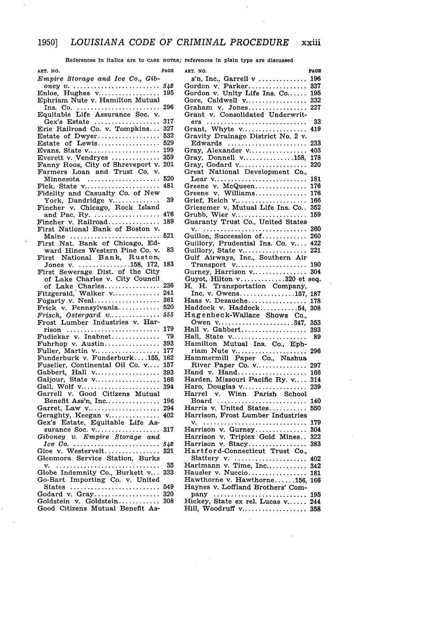References in italics are to **CASE** NOTES; references In plain type are discussed

| ART. NO.                                                | PAGE | ART. NO.                                                                      | PAGE |
|---------------------------------------------------------|------|-------------------------------------------------------------------------------|------|
| Empire Storage and Ice Co., Gib-                        |      | s'n, Inc., Garrell v  196                                                     |      |
|                                                         |      | Gordon v. Parker 337                                                          |      |
| Enloe, Hughes $v_1, \ldots, v_n, \ldots, v_n$ 195       |      | Gordon v. Unity Life Ins. Co 195                                              |      |
| Ephriam Nute v. Hamilton Mutual                         |      | Gore, Caldwell v 332                                                          |      |
|                                                         |      | Graham v. Jones 227                                                           |      |
| Equitable Life Assurance Soc. v.                        |      | Grant v. Consolidated Underwrit-                                              |      |
| Gex's Estate  317                                       |      | ers                                                                           | 33   |
| Erie Railroad Co. v. Tompkins 327                       |      | Grant, Whyte v 419                                                            |      |
|                                                         |      | Gravity Drainage District No. 2 v.<br>Edwards  233                            |      |
| Evans, State v 199                                      |      | Gray, Alexander v 403                                                         |      |
| Everett v. Vendryes $\ldots \ldots \ldots \ldots$ 359   |      | Gray, Donnell v158, 178                                                       |      |
| Fanny Roos, City of Shreveport v. 201                   |      | Gray, Godard v 320                                                            |      |
| Farmers Loan and Trust Co. v.                           |      | Great National Development Co.,                                               |      |
| Minnesota                                               |      | Lear $v_1, \ldots, v_{n_1}, \ldots, v_{n_2}, \ldots, v_{n_k}$ 181             |      |
| Fick, State $v \dots \dots \dots \dots \dots \dots$     | 481  | Greene v. McQueen                                                             | 176  |
| Fidelity and Casualty Co. of New                        |      | Greene v. Williams 176                                                        |      |
| York, Dandridge v                                       | 39   | Grief, Reich v 166                                                            |      |
| Fincher v. Chicago, Rock Island                         |      | Griesemer v. Mutual Life Ins. Co., 352                                        |      |
| and Pac. Ry.  476                                       |      | Grubb, Wier v 159                                                             |      |
| Fincher v. Railroad<br>First National Bank of Boston v. | 189  | Guaranty Trust Co., United States                                             |      |
| Maine  521                                              |      | Guillon, Succession of 260                                                    |      |
| First Nat. Bank of Chicago, Ed-                         |      | Guillory, Prudential Ins. Co. v 422                                           |      |
| ward Hines Western Pine Co. v.                          | 83   | Guillory, State v 221                                                         |      |
| First National Bank, Ruston,                            |      | Gulf Airways, Inc., Southern Air                                              |      |
| Jones v. 158, 172, 183                                  |      |                                                                               |      |
| First Sewerage Dist. of the City                        |      | Gurney, Harrison v 304                                                        |      |
| of Lake Charles v. City Council                         |      | Guyot, Hilton v320 et seq.                                                    |      |
| of Lake Charles 236                                     |      | H. Transportation Company,<br>Н.                                              |      |
| Fitzgerald, Walker $v_1, \ldots, v_n$ . 241             |      | Inc. v. Owens157, 187                                                         |      |
| Fogarty v. Neal 361<br>Frick v. Pennsylvania 520        |      | Haas v. Dezauche 178<br>Haddock v. Haddock54, 308                             |      |
| $Frisch, Ostergard v \ldots 555$                        |      | Hagenbeck-Wallace Shows Co.,                                                  |      |
| Frost Lumber Industries v. Har-                         |      | Owen v347, 353                                                                |      |
|                                                         |      | Hall v. Gabbert 393                                                           |      |
| Fudickar v. Inabnet                                     | 79   | Hall, State v                                                                 | -89  |
| Fuhrhop v. Austin 393                                   |      | Hamilton Mutual Ins. Co., Eph-                                                |      |
| Fuller, Martin $v_1, \ldots, v_n, \ldots, v_n$ 177      |      | riam Nute v                                                                   | 296  |
| Funderburk v. Funderburk155, 162                        |      | Hammermill Paper Co., Nashua                                                  |      |
| Fuselier, Continental Oil Co. v 157                     |      | River Paper Co. v 297                                                         |      |
| Gabbert, Hall v 393                                     |      | Hand v. Hand 166                                                              |      |
| Galjour, State v 166                                    |      | Harden, Missouri Pacific Ry. v 314                                            | 239  |
| Gall, Wolf v 394<br>Garrell v. Good Citizens Mutual     |      | Haro, Douglas $v_1, \ldots, v_n, \ldots, v_n$<br>Harrel v. Winn Parish School |      |
|                                                         |      | Board  140                                                                    |      |
|                                                         |      | Harris v. United States                                                       | 550  |
| Geraghty, Keegan v 402                                  |      | Harrison, Frost Lumber Industries                                             |      |
| Gex's Estate, Equitable Life As-                        |      |                                                                               |      |
| surance Soc. v 317                                      |      | Harrison v. Gurney 304                                                        |      |
| Giboney v. Empire Storage and                           |      | Harrison v. Triplex Gold Mines 322                                            |      |
|                                                         |      | Harrison v. Stacy 383                                                         |      |
| Gioe v. Westervelt $321$                                |      | Hartford-Connecticut Trust Co.,                                               |      |
| Glenmora Service Station, Burks                         | 35   | Slattery v. $\ldots$ 402<br>Hartmann v. Time, Inc 342                         |      |
| Globe Indemnity Co., Burkett v                          | 333  | Hausler v. Nuccio 181                                                         |      |
| Go-Bart Importing Co. v. United                         |      | Hawthorne v. Hawthorne156, 166                                                |      |
|                                                         |      | Haynes v. Loffland Brothers' Com-                                             |      |
| Godard v. Gray 320                                      |      | pany  195                                                                     |      |
| Goldstein v. Goldstein 308                              |      | Hickey, State ex rel. Lucas v 244                                             |      |
| Good Citizens Mutual Benefit As-                        |      | Hill, Woodruff v 358                                                          |      |

 $\bar{\gamma}$ 

 $\cdot$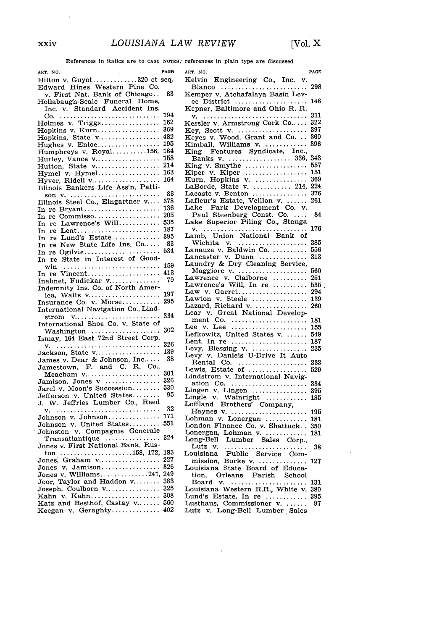$\alpha$ 

 $\sim$ 

References in italics are to **CASE NOTES;** references in plain type are discussed

| ART. NO.                                                       | PAGE |
|----------------------------------------------------------------|------|
| Hilton v. Guyot320 et seq.                                     |      |
| Edward Hines Western Pine Co.<br>v. First Nat. Bank of Chicago |      |
|                                                                | 83   |
| Hollabaugh-Seale Funeral Home,                                 |      |
| Inc. v. Standard Accident Ins.                                 |      |
|                                                                | 194  |
|                                                                | 162  |
| Holmes v. Triggs<br>Hopkins v. Kurn                            | 369  |
|                                                                |      |
| Hopkins, State v                                               | 482  |
|                                                                | 195  |
| Humphreys v. Royal156,<br>Hurley, Vance v                      | 184  |
|                                                                | 158  |
| Hutton, State v                                                | 214  |
| Hymel v. Hymel                                                 | 163  |
| Hyver, Ridell v                                                | 164  |
| Illinois Bankers Life Ass'n, Patti-                            |      |
|                                                                | 83   |
|                                                                | 378  |
|                                                                | 136  |
| In re Bryant                                                   |      |
| In re Commisso                                                 | 205  |
| $\text{Will}\dots\dots\dots\dots$<br>In re Lawrence's          | 535  |
| In re Lent                                                     | 187  |
|                                                                | 395  |
| In re Lund's Estate<br>In re New State Life Ins. Co            | 83   |
| In re Ogilvie                                                  | 534  |
| re State in Interest of Good-<br>In                            |      |
|                                                                | 159  |
| win                                                            | 413  |
|                                                                | 79   |
|                                                                |      |
|                                                                |      |
|                                                                | 197  |
|                                                                | 295  |
| International Navigation Co., Lind-                            |      |
|                                                                | 334  |
|                                                                |      |
| International Shoe Co. v. State of<br>Washington               | 302  |
| Ismay, 164 East 72nd Street Corp.                              |      |
|                                                                | 326  |
|                                                                | 139  |
| Jackson, State v                                               | 38   |
| James v. Dear & Johnson, Inc                                   |      |
| Jamestown, F. and C. R. Co.,                                   |      |
| Meacham v                                                      | 301  |
| Jamison, Jones v                                               | 326  |
| Jarel v. Moon's Succession                                     | 530  |
| Jefferson v. United States                                     | 95   |
| J. W. Jeffries Lumber Co., Reed                                |      |
|                                                                | 32   |
|                                                                | 171  |
|                                                                | 551  |
|                                                                |      |
| Johnston v. Compagnie Generale                                 | 324  |
| Transatlantique                                                |      |
| Jones v. First National Bank, Rus-                             |      |
| $\text{ton}$ 158, 172,                                         | 183  |
| Jones, Graham v                                                | 227  |
|                                                                | 326  |
|                                                                | 249  |
| Joor, Taylor and Haddon v                                      | 383  |
| Joseph, Coulborn v                                             | 325  |
|                                                                | 308  |
| Kahn v. Kahn<br>Katz and Besthof, Castay v                     | 560  |
|                                                                | 402  |
| Keegan v. Geraghty                                             |      |

| ART. NO.                                                     | PAGE |
|--------------------------------------------------------------|------|
| Kelvin Engineering Co., Inc. v.                              | 298  |
| Blanco<br>Kemper v. Atchafalaya Basin Lev-                   |      |
| ee District<br>Kepner, Baltimore and Ohio R. R.              | 148  |
|                                                              | 311  |
| Kessler v. Armstrong Cork Co                                 | 322  |
| Key, Scott v. $\dots \dots \dots \dots \dots$                | 397  |
|                                                              | 360  |
| Keyes v. Wood, Grant and Co<br>Kimball, Williams v           | 396  |
|                                                              |      |
|                                                              | 343  |
|                                                              | 557  |
|                                                              | 151  |
|                                                              | 369  |
|                                                              | 224  |
| LaBorde, State v.  214,<br>Lacaste v. Benton                 | 376  |
|                                                              | 261  |
| Lafleur's Estate, Veillon v.<br>Lake Park Development Co. v. |      |
|                                                              |      |
| Paul Steenberg Const. Co.                                    | 84   |
| Lake Superior Piling Co., Stanga                             | 176  |
|                                                              |      |
|                                                              | 385  |
|                                                              |      |
|                                                              | 556  |
| Lancaster v. Dunn                                            | 313  |
| Laundry & Dry Cleaning Service,<br>- Maggiore v.             |      |
|                                                              | 560  |
| Lawrence v. Claiborne                                        | 251  |
|                                                              | 535  |
|                                                              | 294  |
|                                                              | 139  |
|                                                              | 260  |
|                                                              |      |
|                                                              | 181  |
|                                                              | 155  |
|                                                              | 549  |
| Lent, In re                                                  | 187  |
| Levy, Blessing v.<br>Levy v. Daniels U-Drive It Auto         | 235  |
|                                                              |      |
| Rental Co.                                                   | 333  |
|                                                              | 529  |
| Lindstrom v. International Navig-                            |      |
| ation Co.                                                    | 334  |
|                                                              | 395  |
|                                                              | 185  |
|                                                              |      |
|                                                              | 195  |
|                                                              | 181  |
| London Finance Co. v. Shattuck                               | 350  |
|                                                              | 181  |
|                                                              |      |
|                                                              | -38  |
|                                                              |      |
|                                                              | 127  |
|                                                              |      |
|                                                              |      |
|                                                              | 131  |
|                                                              | 380  |
|                                                              | 395  |
| Lusthaus, Commissioner v.                                    | 97   |
| Lutz v. Long-Bell Lumber Sales                               |      |
|                                                              |      |

 $\ddot{\phantom{0}}$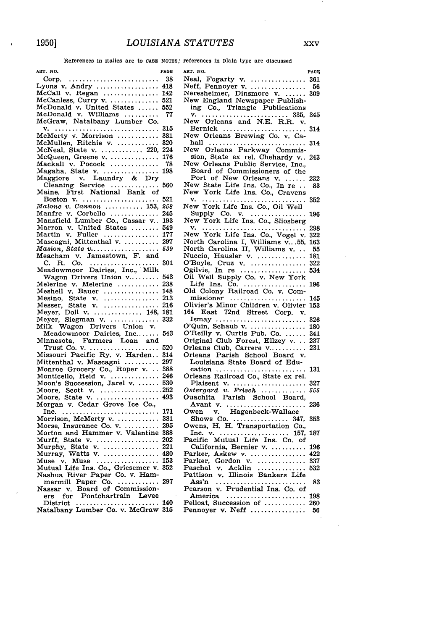References in Italics are to **CASE NOTES;** references in plain type are discussed

| ART. NO.                                                                        | PAGE       |
|---------------------------------------------------------------------------------|------------|
| Corp.<br>Corp.<br>Lyons v. Andry                                                | 38         |
|                                                                                 | 418        |
| McCall v. Regan                                                                 | 142        |
|                                                                                 | 521        |
|                                                                                 | 552        |
|                                                                                 | 77         |
|                                                                                 |            |
|                                                                                 | 315        |
|                                                                                 | 381        |
| McMullen, Ritchie v.                                                            | 320        |
| McNeal, State v.  220,<br>McQueen, Greene v.                                    | 224        |
|                                                                                 | 176        |
|                                                                                 | 78         |
|                                                                                 | 198        |
|                                                                                 |            |
|                                                                                 | 560        |
|                                                                                 |            |
| Boston $v \dots \dots \dots \dots \dots \dots \dots$                            | 521        |
| $Malone v. Cannon$ 153,                                                         | 258        |
| Manfre v. Corbello                                                              | 245        |
|                                                                                 | 193<br>549 |
|                                                                                 | 177        |
|                                                                                 | 297        |
|                                                                                 | 539        |
| Masion, State v<br>Meacham v. Jamestown, F. and                                 |            |
|                                                                                 | 301        |
|                                                                                 |            |
|                                                                                 | 543        |
|                                                                                 | 238        |
| Melerine v. Melerine<br>Meshell v. Bauer                                        | 148        |
|                                                                                 | 213        |
|                                                                                 | 216        |
|                                                                                 | 181        |
|                                                                                 | 332        |
|                                                                                 |            |
|                                                                                 | 543        |
|                                                                                 |            |
|                                                                                 | 520        |
|                                                                                 | 314        |
|                                                                                 | 297        |
|                                                                                 | 388        |
| Monroe Grocery Co., Roper v<br>Monticello, Reid v<br>Moon's Succession, Jarel v | 246        |
|                                                                                 | 530        |
|                                                                                 |            |
|                                                                                 |            |
|                                                                                 |            |
|                                                                                 | 171        |
| Morrison, McMerty v.                                                            | 381        |
| Morse, Insurance Co. v.<br>Morton and Hammer v. Valentine                       | 295        |
|                                                                                 | 388        |
| Murff, State v.                                                                 | 202<br>221 |
|                                                                                 | 480        |
|                                                                                 | 153        |
|                                                                                 | 352        |
|                                                                                 |            |
|                                                                                 | 297        |
| mermill Paper Co.<br>Nassar v. Board of Commission-                             |            |
|                                                                                 |            |
|                                                                                 |            |
|                                                                                 |            |

| ART. NO.                                                                                                                                                        | <b>PAGE</b> |
|-----------------------------------------------------------------------------------------------------------------------------------------------------------------|-------------|
| Neal, Fogarty v.<br>Neff, Pennoyer v.                                                                                                                           | 361         |
|                                                                                                                                                                 | 56          |
| Neresheimer, Dinsmore v.<br>New England Newspaper Publish-                                                                                                      | 309         |
|                                                                                                                                                                 |             |
| ing Co., Triangle Publications                                                                                                                                  |             |
|                                                                                                                                                                 | 345         |
|                                                                                                                                                                 |             |
|                                                                                                                                                                 | 314         |
|                                                                                                                                                                 |             |
| hall                                                                                                                                                            | 314         |
| New Orleans Parkway Commis-                                                                                                                                     |             |
| sion, State ex rel. Chehardy v<br>New Orleans Public Service, Inc.,                                                                                             | 243         |
|                                                                                                                                                                 |             |
| Board of Commissioners of the                                                                                                                                   |             |
| Port of New Orleans v.<br>New State Life Ins. Co., In re                                                                                                        | 232         |
|                                                                                                                                                                 | 83          |
| New York Life Ins. Co., Cravens                                                                                                                                 |             |
| v.                                                                                                                                                              | 352         |
| New York Life Ins. Co., Oil Well<br>Supply Co. v.                                                                                                               |             |
|                                                                                                                                                                 | 196         |
| New York Life Ins. Co., Sliosberg                                                                                                                               |             |
|                                                                                                                                                                 | 298         |
|                                                                                                                                                                 | 322         |
|                                                                                                                                                                 | 163         |
| North Carolina I, williams v,<br>North Carolina II, Williams v<br>Nuccio, Hausler v<br>O'Boyle, Cruz v<br>Oil Well Supply Co. v. New York<br>Vie Ver Ver Vie V. | 55          |
|                                                                                                                                                                 | 181         |
|                                                                                                                                                                 | 322         |
|                                                                                                                                                                 | 534         |
|                                                                                                                                                                 |             |
|                                                                                                                                                                 | 196         |
|                                                                                                                                                                 |             |
|                                                                                                                                                                 | 145         |
|                                                                                                                                                                 | 153         |
| 164 East 72nd Street Corp. v.                                                                                                                                   |             |
| $Ismay \dots \dots \dots \dots \dots \dots \dots \dots \dots$                                                                                                   | 326         |
| O'Quin, Schaub v.<br>O'Reilly v. Curtis Pub. Co.                                                                                                                | 180         |
| Original Club Forest, Ellzey v.                                                                                                                                 | 341<br>237  |
| Orleans Club, Carrere v                                                                                                                                         | 231         |
| Orleans Parish School Board v.                                                                                                                                  |             |
|                                                                                                                                                                 |             |
| Louisiana State Board of Edu-                                                                                                                                   |             |
|                                                                                                                                                                 | 131         |
|                                                                                                                                                                 | 327         |
|                                                                                                                                                                 | 555         |
|                                                                                                                                                                 |             |
|                                                                                                                                                                 | 236         |
|                                                                                                                                                                 |             |
|                                                                                                                                                                 | 353         |
|                                                                                                                                                                 |             |
|                                                                                                                                                                 | 187         |
|                                                                                                                                                                 |             |
|                                                                                                                                                                 | 196         |
| Parker, Askew v.                                                                                                                                                | 422         |
|                                                                                                                                                                 | 337         |
|                                                                                                                                                                 | 532         |
|                                                                                                                                                                 |             |
|                                                                                                                                                                 | 83          |
|                                                                                                                                                                 |             |
|                                                                                                                                                                 | 198         |
| America<br>Pelloat, Succession of                                                                                                                               | 260         |
| Pennoyer v. Neff                                                                                                                                                | 56          |
|                                                                                                                                                                 |             |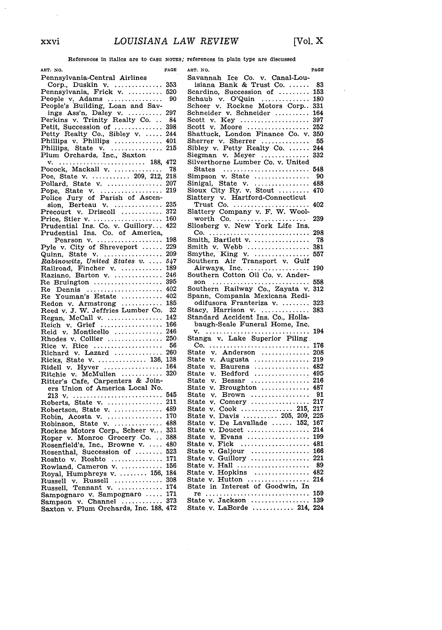$\sim$   $\sim$ 

 $\sim 10^7$ 

References in italics are to **CASE NOTES;** references in plain type are discussed

| ART. NO.                                                               | PAGE | ART. NO.                                     |
|------------------------------------------------------------------------|------|----------------------------------------------|
| Pennsylvania-Central Airlines                                          |      | Savanna                                      |
| Corp., Duskin v.                                                       | 353  | isiana                                       |
| Pennsylvania, Frick v.                                                 | 520  | Scardino                                     |
|                                                                        | 90   | Schaub                                       |
| People v. Adams<br>People's Building, Loan and Sav-                    |      | $\scriptstyle\rm Scheer$ $\scriptstyle\rm v$ |
|                                                                        |      |                                              |
|                                                                        |      | Schneide                                     |
|                                                                        |      | Scott v.                                     |
|                                                                        |      | Scott<br>v.                                  |
| Petty Realty Co., Sibley v.  244<br>Phillips v. Phillips  401          |      | $\operatorname{Shattuch}$                    |
|                                                                        |      | Sherrer                                      |
| Phillips, State v.                                                     | 215  | Sibley v                                     |
| Plum Orchards, Inc., Saxton                                            |      | Siegman                                      |
| v.                                                                     |      | Silvertho                                    |
|                                                                        |      | $\texttt{States}$                            |
| Pocock, Mackall v.  78<br>Poe, State v.  209, 212, 218                 |      | Simpson                                      |
|                                                                        | 207  | Sinigal,                                     |
|                                                                        | 219  | Sioux Ci                                     |
| Pollard, State v.<br>Pope, State v.<br>Police Jury of Parish of Ascen- |      |                                              |
|                                                                        |      | Slattery                                     |
| sion, Berteau v.                                                       | 235  | Trust                                        |
| Precourt v. Driscoll                                                   | 372  | Slattery                                     |
|                                                                        | 160  | worth                                        |
|                                                                        | 422  | Sliosberf                                    |
| Prudential Ins. Co. v. Guillory<br>Prudential Ins. Co. of America,     |      | $Co. \ldots$                                 |
| Pearson v.                                                             | 198  | Smith, E                                     |
| Pyle v. City of Shreveport                                             | 229  | Smith v                                      |
| State $v_{i}$<br>Quinn,                                                | 209  | Smythe,                                      |
| Rabinowitz, United States v.                                           | 547  | $_{\rm Southern}$                            |
| Railroad, Fincher v.                                                   | 189  | Airway                                       |
| Raziano, Barton v.                                                     | 246  | Southerr                                     |
| Re Bruington                                                           | 395  | son<br>$\sim$                                |
| Re Dennis                                                              | 402  | Southerr                                     |
| Re Youman's Estate                                                     | 402  | Spann, (                                     |
|                                                                        | 185  | odifuso                                      |
| Redon v. Armstrong<br>Reed v. J. W. Jeffries Lumber Co.                | 32   | Stacy, F                                     |
|                                                                        | 142  | Standard                                     |
| Regan, McCall v.<br>Reich v. Grief                                     | 166  | baugh-                                       |
| Monticello<br>Reid v.                                                  | 246  |                                              |
| Rhodes v. Collier $\ldots$ 250.                                        |      | v.<br>Stanga                                 |
|                                                                        | 56   | $Co.$                                        |
|                                                                        | 260  | ${\tt State}$<br>v.                          |
|                                                                        | 138  | State v.                                     |
| Ricks, State v.  136,<br>Ridell v. Hyver                               | 164  | State<br>v.                                  |
|                                                                        | 320  | ${\tt State}$<br>v.                          |
| Ritchie v. McMullen<br>Ritter's Cafe, Carpenters & Join-               |      | ${\tt State}$<br>v.                          |
|                                                                        |      | ${\tt State}$<br>v.                          |
| ers Union of America Local No.                                         |      |                                              |
|                                                                        | 545  | ${\tt State}$<br>v.                          |
| Roberts, State v.                                                      | 211  | State<br>v.                                  |
| Robertson, State v.                                                    | 489  | State v.                                     |
| Robin, Acosta v.                                                       | 170  | State<br>v.                                  |
| Robinson, State v.  488                                                |      | ${\tt State}$<br>v.                          |
| Rockne Motors Corp., Scheer v 331                                      |      | State v.                                     |
| Roper v. Monroe Grocery Co<br>Rosenfield's, Inc., Browne v             | 388  | ${\tt State}$<br>v.                          |
|                                                                        | 480  | State v.                                     |
|                                                                        |      | State v.                                     |
| Rosenthal, Succession of  523<br>Roshto v. Roshto  171                 |      | State v.                                     |
| Rowland, Cameron v.                                                    | 156  | State v.                                     |
| Royal, Humphreys v.  156, 184                                          |      | State v.                                     |
| Russell v. Russell                                                     | 308  | State v.                                     |
| Russell, Tennant v.  174                                               |      | State in                                     |
| Sampognaro v. Sampognaro  171                                          |      | $re \ldots$                                  |
| Sampson v. Channel  373                                                |      | State v.                                     |
| Saxton v. Plum Orchards, Inc. 188, 472                                 |      | State v.                                     |

| ART. NO.                                                                                       | PAGE       |
|------------------------------------------------------------------------------------------------|------------|
| Savannah Ice Co. v. Canal-Lou-                                                                 |            |
| isiana Bank & Trust Co.                                                                        | -83        |
| Scardino, Succession of                                                                        | 153        |
| Schaub v. O'Quin<br>Schaub v. O'Quin<br>Scheer v. Rockne Motors Corp<br>Schneider v. Schneider | 180        |
|                                                                                                | 331        |
|                                                                                                | 164<br>397 |
|                                                                                                | 252        |
| Scott v. Key<br>Scott v. Moore<br>Shattuck, London Finance Co. v.<br>v,                        | 350        |
| Sherrer v. Sherrer                                                                             | 55         |
|                                                                                                | 244        |
| Sibley v. Petty Realty Co.<br>Siegman v. Meyer                                                 | 332        |
| Silverthorne Lumber Co. v. United                                                              |            |
| States<br>Simpson v. State                                                                     | 548        |
|                                                                                                | 90         |
| Sinigal, State v.<br>Sioux City Ry. v. Stout                                                   | 488        |
|                                                                                                | 470        |
|                                                                                                |            |
|                                                                                                | 402        |
|                                                                                                | 239        |
|                                                                                                |            |
|                                                                                                | 298        |
|                                                                                                | 78         |
|                                                                                                | 381        |
|                                                                                                | 557        |
|                                                                                                |            |
|                                                                                                | 190        |
|                                                                                                |            |
| son                                                                                            | 558        |
| Southern Railway Co., Zayata v.<br>Spann, Compania Mexicana Redi-                              | 312        |
| odifusora Franteriza v.                                                                        | 323        |
|                                                                                                | 383        |
| Stacy, Harrison v.<br>Standard Accident Ins. Co., Holla-                                       |            |
| baugh-Seale Funeral Home, Inc.                                                                 |            |
|                                                                                                | 194        |
| v. Lake Superior Piling<br>Stanga                                                              |            |
| Co.                                                                                            | 176        |
| State<br>v. Anderson                                                                           | 208        |
| Augusta<br>State<br>v.                                                                         | 219        |
| State<br>$\mathbf{v}$ .<br>Baurens                                                             | 482<br>495 |
| ${\tt State}$<br>$\textbf{Bedford}$<br>v.<br>${\tt State}$<br>Bessar<br>v.                     | 216        |
| ${\tt State}$<br>$Broughton$<br>v.                                                             | 487        |
| State<br>$Brown$<br>v.                                                                         | 91         |
| State<br>v.                                                                                    | 217        |
| State<br>v.                                                                                    | 217        |
| State<br>v.                                                                                    | 225        |
| ${\tt State}$<br>v.                                                                            | 167        |
| State<br>v. Doucet                                                                             | 214        |
| Evans<br>State<br>v.<br>.                                                                      | 199        |
| State<br>v. Fick                                                                               | 481        |
| v. Galjour<br>v. Guillory<br>State<br>State                                                    | 166<br>221 |
| ${\tt State}$<br>v. Hall                                                                       | -89        |
| State                                                                                          | 482        |
| $v.$ Hopkins $\dots\dots\dots\dots\dots$<br>State<br>v. Hutton                                 | 214        |
| State in Interest of Goodwin, In                                                               |            |
|                                                                                                | 159        |
| $\begin{array}{c}\n\text{re} \\ \text{State v. Jackson} \\ \text{14}\n\end{array}$             | 139        |
| State $v$ . LaBorde  214,                                                                      | 224        |
|                                                                                                |            |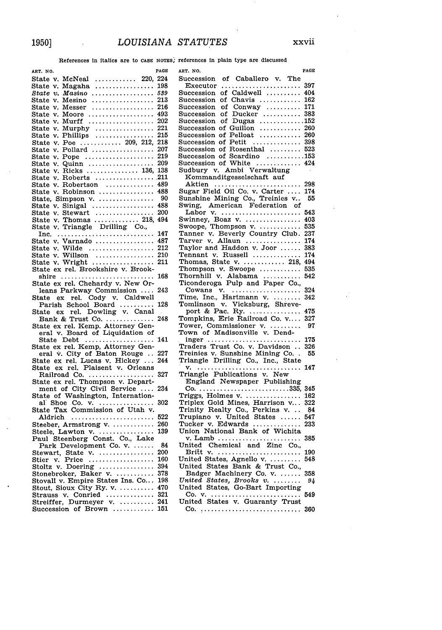l,

 $\ddot{\phantom{a}}$ 

l,

References in italics are to CASE NOTES; references in plain type are discussed

| ART. NO.                                                                               | PAGE       |
|----------------------------------------------------------------------------------------|------------|
| State<br>$McNeal$<br>220.<br>v.                                                        | 224        |
| State<br>Magaha<br>v.<br>.                                                             | 198        |
| State v.<br>$Masino$                                                                   | 539        |
| Mesino<br>Messer<br>State<br>v.                                                        | 213        |
| State v.                                                                               | 216        |
| Moore<br>State<br>v.                                                                   | 493        |
| Murff<br>State v.                                                                      | 202        |
| State v.                                                                               | 221        |
| $\operatorname{\textsf{State}}$<br>v.                                                  | 215        |
| State v.                                                                               | 218        |
| Pollard<br>State<br>v.                                                                 | 207        |
| State<br>Pope<br>v.                                                                    | 219        |
| Quinn<br>State<br>v.                                                                   | 209        |
| Ricks  136,<br>State<br>v.                                                             | 138        |
| State<br>Roberts<br>v.                                                                 | 211        |
| Robertson<br>State v.                                                                  | 489<br>488 |
| Robinson<br>${\tt State}$<br>v.                                                        |            |
| State, Simpson v.                                                                      | 90<br>488  |
| State v. Sinigal<br>State v. Sinigal<br>State v. Stewart                               | 200        |
| 218,                                                                                   | 494        |
| Thomas $\dots\dots\dots\dots$<br>State v.<br>State v.                                  |            |
| Triangle Drilling Co.,                                                                 | 147        |
| Inc.<br>Varnado<br>State v.                                                            | 487        |
| Wilde<br>State v.                                                                      | 212        |
| State v.                                                                               | 210        |
| Willson<br>Wright<br>State v.                                                          | 211        |
| State ex rel. Brookshire v. Brook-                                                     |            |
| shire                                                                                  | 168        |
| State ex rel. Chehardy v. New Or-                                                      |            |
| leans Parkway Commission                                                               | 243        |
| State ex rel. Cody v. Caldwell                                                         |            |
|                                                                                        | 128        |
| Parish School Board<br>ate ex rel. Dowling v. Canal<br>State ex                        |            |
| Bank & Trust Co.                                                                       | 248        |
|                                                                                        |            |
|                                                                                        |            |
| State Debt $\ldots$                                                                    | 141        |
| State ex rel. Kemp, Attorney Gen-                                                      |            |
| eral v. City of Baton Rouge                                                            | 227        |
| State ex rel. Lucas v. Hickey<br>State ex rel. Plaisent v. Orleans                     | 244        |
|                                                                                        |            |
| Railroad Co.                                                                           | 327        |
| State ex rel. Thompson v. Depart-                                                      |            |
| ment of City Civil Service                                                             | 234        |
| State of Washington, Internation-<br>al Shoe Co. v.<br>State Tax Commission of Utah v. |            |
|                                                                                        | 302        |
|                                                                                        |            |
| Aldrich                                                                                | 522        |
| Steeber, Armstrong v.                                                                  | 260        |
|                                                                                        | 139        |
|                                                                                        |            |
| Park Development Co. v.                                                                | 84<br>200  |
|                                                                                        | 160        |
|                                                                                        | 394        |
|                                                                                        | 378        |
|                                                                                        | 198        |
|                                                                                        | 470        |
|                                                                                        | 321        |
| Strauss v. Conried<br>Streiffer, Durmeyer v.                                           | 241        |
| Succession of Brown                                                                    | 151        |
|                                                                                        |            |

| PAGE<br>ART. NO.                                                                                  |
|---------------------------------------------------------------------------------------------------|
|                                                                                                   |
| 397                                                                                               |
| 404                                                                                               |
|                                                                                                   |
|                                                                                                   |
|                                                                                                   |
|                                                                                                   |
|                                                                                                   |
|                                                                                                   |
|                                                                                                   |
|                                                                                                   |
|                                                                                                   |
| Sudbury v. Ambi Verwaltung                                                                        |
| Kommanditgesselschaft auf                                                                         |
| 298<br>Aktien                                                                                     |
| Sugar Field Oil Co. v. Carter<br>174                                                              |
| Sunshine Mining Co., Treinies v<br>55                                                             |
|                                                                                                   |
| 543                                                                                               |
| 403                                                                                               |
| 535                                                                                               |
| Tanner v. Beverly Country Club.<br>237<br>174                                                     |
| 383                                                                                               |
| Tennant v. Russell<br>174                                                                         |
| Thomas, State v.  218,<br>494                                                                     |
| 535                                                                                               |
| 542                                                                                               |
| Thompson v. Swoope<br>Thornhill v. Alabama<br>Ticonderoga Pulp and Paper Co.,                     |
| 324<br>Cowans v.<br>Time, Inc., Hartmann v.<br>Tomlinson v. Vicksburg, Shreve-<br>port & Pac. Ry. |
| 342                                                                                               |
|                                                                                                   |
| 475                                                                                               |
| Tompkins, Erie Railroad Co. v<br>327                                                              |
| Tower, Commissioner v.<br>Town of Madisonville v. Dend-<br>97                                     |
| 175                                                                                               |
| inger<br>Traders Trust Co. v. Davidson<br>326                                                     |
| Treinies v. Sunshine Mining Co. .<br>55                                                           |
| Triangle Drilling Co., Inc., State                                                                |
| 147                                                                                               |
| Triangle Publications v. New<br>England Newspaper Publishing<br>$C_0$ 335,                        |
|                                                                                                   |
| 345                                                                                               |
| 162                                                                                               |
| 322                                                                                               |
| 84<br>547                                                                                         |
| 233                                                                                               |
|                                                                                                   |
| Union National Bank of Wichita<br>v. Lamb<br>385                                                  |
| United Chemical and Zinc Co.,                                                                     |
| 190                                                                                               |
| 548                                                                                               |
| United States Bank & Trust Co.,                                                                   |
| Badger Machinery Co. v.<br>United States, Brooks v.<br>358                                        |
| 94                                                                                                |
| United States, Go-Bart Importing                                                                  |
| 549                                                                                               |
| 360                                                                                               |
| $Co.$ ,                                                                                           |